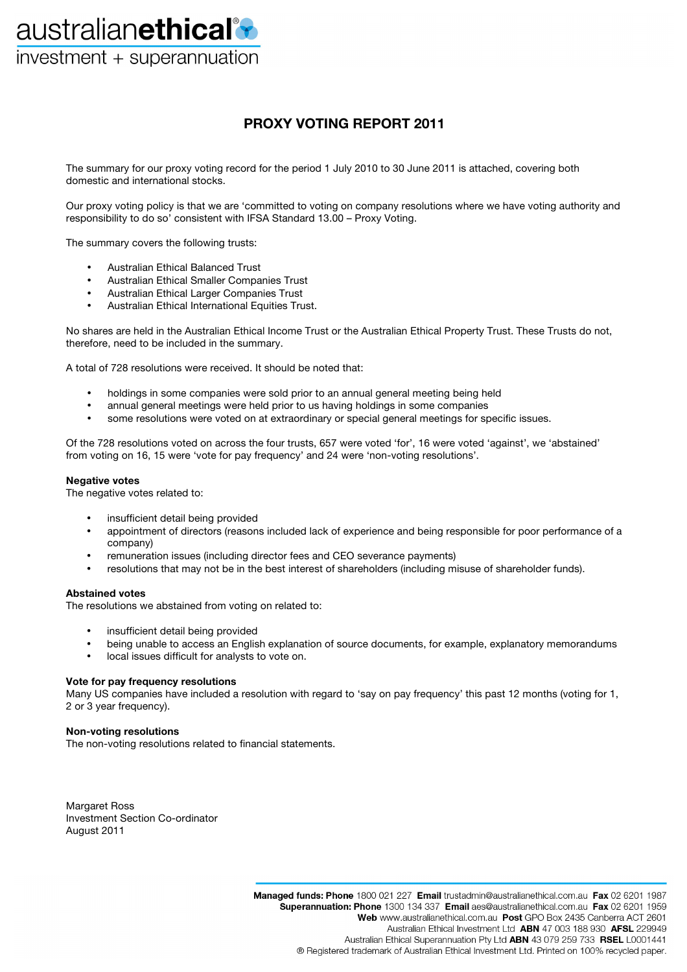australianethical<sup>®</sup> investment + superannuation

## **PROXY VOTING REPORT 2011**

The summary for our proxy voting record for the period 1 July 2010 to 30 June 2011 is attached, covering both domestic and international stocks.

Our proxy voting policy is that we are 'committed to voting on company resolutions where we have voting authority and responsibility to do so' consistent with IFSA Standard 13.00 – Proxy Voting.

The summary covers the following trusts:

- Australian Ethical Balanced Trust
- Australian Ethical Smaller Companies Trust
- Australian Ethical Larger Companies Trust
- Australian Ethical International Equities Trust.

No shares are held in the Australian Ethical Income Trust or the Australian Ethical Property Trust. These Trusts do not, therefore, need to be included in the summary.

A total of 728 resolutions were received. It should be noted that:

- holdings in some companies were sold prior to an annual general meeting being held
- annual general meetings were held prior to us having holdings in some companies
- some resolutions were voted on at extraordinary or special general meetings for specific issues.

Of the 728 resolutions voted on across the four trusts, 657 were voted 'for', 16 were voted 'against', we 'abstained' from voting on 16, 15 were 'vote for pay frequency' and 24 were 'non-voting resolutions'.

#### **Negative votes**

The negative votes related to:

- insufficient detail being provided
- appointment of directors (reasons included lack of experience and being responsible for poor performance of a company)
- remuneration issues (including director fees and CEO severance payments)
- resolutions that may not be in the best interest of shareholders (including misuse of shareholder funds).

#### **Abstained votes**

The resolutions we abstained from voting on related to:

- insufficient detail being provided
- being unable to access an English explanation of source documents, for example, explanatory memorandums<br>• local issues difficult for analysts to vote on
- local issues difficult for analysts to vote on.

#### **Vote for pay frequency resolutions**

Many US companies have included a resolution with regard to 'say on pay frequency' this past 12 months (voting for 1, 2 or 3 year frequency).

#### **Non-voting resolutions**

The non-voting resolutions related to financial statements.

Margaret Ross Investment Section Co-ordinator August 2011